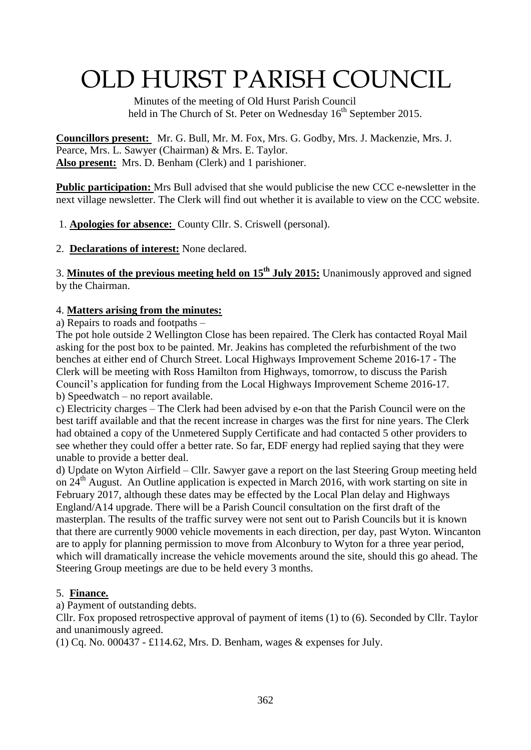# OLD HURST PARISH COUNCIL

 Minutes of the meeting of Old Hurst Parish Council held in The Church of St. Peter on Wednesday  $16<sup>th</sup>$  September 2015.

**Councillors present:** Mr. G. Bull, Mr. M. Fox, Mrs. G. Godby, Mrs. J. Mackenzie, Mrs. J. Pearce, Mrs. L. Sawyer (Chairman) & Mrs. E. Taylor. **Also present:** Mrs. D. Benham (Clerk) and 1 parishioner.

**Public participation:** Mrs Bull advised that she would publicise the new CCC e-newsletter in the next village newsletter. The Clerk will find out whether it is available to view on the CCC website.

1. **Apologies for absence:** County Cllr. S. Criswell (personal).

2. **Declarations of interest:** None declared.

3. **Minutes of the previous meeting held on 15th July 2015:** Unanimously approved and signed by the Chairman.

# 4. **Matters arising from the minutes:**

a) Repairs to roads and footpaths –

The pot hole outside 2 Wellington Close has been repaired. The Clerk has contacted Royal Mail asking for the post box to be painted. Mr. Jeakins has completed the refurbishment of the two benches at either end of Church Street. Local Highways Improvement Scheme 2016-17 - The Clerk will be meeting with Ross Hamilton from Highways, tomorrow, to discuss the Parish Council's application for funding from the Local Highways Improvement Scheme 2016-17. b) Speedwatch – no report available.

c) Electricity charges – The Clerk had been advised by e-on that the Parish Council were on the best tariff available and that the recent increase in charges was the first for nine years. The Clerk had obtained a copy of the Unmetered Supply Certificate and had contacted 5 other providers to see whether they could offer a better rate. So far, EDF energy had replied saying that they were unable to provide a better deal.

d) Update on Wyton Airfield – Cllr. Sawyer gave a report on the last Steering Group meeting held on  $24<sup>th</sup>$  August. An Outline application is expected in March 2016, with work starting on site in February 2017, although these dates may be effected by the Local Plan delay and Highways England/A14 upgrade. There will be a Parish Council consultation on the first draft of the masterplan. The results of the traffic survey were not sent out to Parish Councils but it is known that there are currently 9000 vehicle movements in each direction, per day, past Wyton. Wincanton are to apply for planning permission to move from Alconbury to Wyton for a three year period, which will dramatically increase the vehicle movements around the site, should this go ahead. The Steering Group meetings are due to be held every 3 months.

# 5. **Finance.**

a) Payment of outstanding debts.

Cllr. Fox proposed retrospective approval of payment of items (1) to (6). Seconded by Cllr. Taylor and unanimously agreed.

(1) Cq. No. 000437 - £114.62, Mrs. D. Benham, wages & expenses for July.